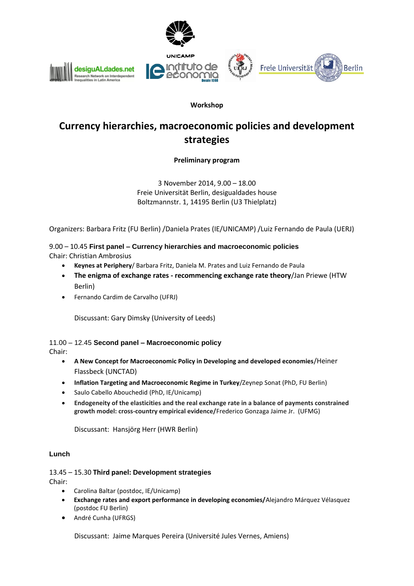

## **Workshop**

# **Currency hierarchies, macroeconomic policies and development strategies**

**Preliminary program** 

3 November 2014, 9.00 – 18.00 Freie Universität Berlin, desigualdades house Boltzmannstr. 1, 14195 Berlin (U3 Thielplatz)

Organizers: Barbara Fritz (FU Berlin) /Daniela Prates (IE/UNICAMP) /Luiz Fernando de Paula (UERJ)

9.00 – 10.45 **First panel – Currency hierarchies and macroeconomic policies** Chair: Christian Ambrosius

- **Keynes at Periphery**/ Barbara Fritz, Daniela M. Prates and Luiz Fernando de Paula
- **The enigma of exchange rates - recommencing exchange rate theory**/Jan Priewe (HTW Berlin)
- Fernando Cardim de Carvalho (UFRJ)

Discussant: Gary Dimsky (University of Leeds)

11.00 – 12.45 **Second panel – Macroeconomic policy** Chair:

- **A New Concept for Macroeconomic Policy in Developing and developed economies**/Heiner Flassbeck (UNCTAD)
- **Inflation Targeting and Macroeconomic Regime in Turkey**/Zeynep Sonat (PhD, FU Berlin)
- [Saulo Cabello Abouchedid](https://plus.google.com/u/1/100223841068601001403?prsrc=4) (PhD, IE/Unicamp)
- **Endogeneity of the elasticities and the real exchange rate in a balance of payments constrained growth model: cross-country empirical evidence/**Frederico Gonzaga Jaime Jr. (UFMG)

Discussant: Hansjörg Herr (HWR Berlin)

## **Lunch**

13.45 – 15.30 **Third panel: Development strategies** Chair:

- Carolina Baltar (postdoc, IE/Unicamp)
- **Exchange rates and export performance in developing economies/**Alejandro Márquez Vélasquez (postdoc FU Berlin)
- André Cunha (UFRGS)

Discussant: Jaime Marques Pereira (Université Jules Vernes, Amiens)